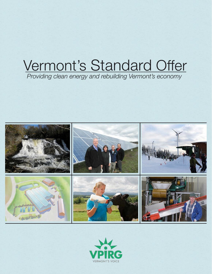# Vermont's Standard Offer

*Providing clean energy and rebuilding Vermont's economy* 



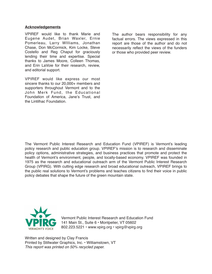### **Acknowledgements**

VPIREF would like to thank Marie and Eugene Audet, Brian Waxler, Ernie Pomerleau, Larry WIlliams, Jonathan Chase, Don McCormick, Kim Locke, Steve Costello and Reg Chaput for graciously lending their time and expertise. Special thanks to James Moore, Colleen Thomas, and Erin LaVoie for their research, review, and editorial support.

VPIREF would like express our most sincere thanks to our 20,000+ members and supporters throughout Vermont and to the John Merk Fund, the Educational Foundation of America, Jane's Trust, and the Lintilhac Foundation.

The author bears responsibility for any factual errors. The views expressed in this report are those of the author and do not necessarily reflect the views of the funders or those who provided peer review.

The Vermont Public Interest Research and Education Fund (VPIREF) is Vermont's leading policy research and public education group. VPIREF's mission is to research and disseminate policy options, administrative strategies, and business practices that promote and protect the health of Vermont's environment, people, and locally-based economy. VPIREF was founded in 1975 as the research and educational outreach arm of the Vermont Public Interest Research Group (VPIRG). With cutting edge research and broad educational outreach, VPIREF brings to the public real solutions to Vermont's problems and teaches citizens to find their voice in public policy debates that shape the future of the green mountain state.



Vermont Public Interest Research and Education Fund 141 Main St., Suite 6 • Montpelier, VT 05602 802.223.5221 • [www.vpirg.org](http://www.vpirg.org) • [vpirg@vpirg.org](mailto:vpirg@vpirg.org)

Written and designed by Clay Francis Printed by Stillwater Graphics, Inc. • Williamstown, VT *This report was printed on 50% recycled paper.*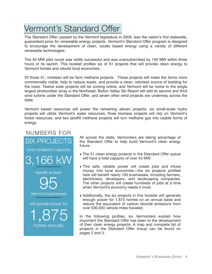## Vermont's Standard Offer

The Standard Offer, passed by the Vermont legislature in 2009, was the nation's first statewide, guaranteed price for renewable energy projects. Vermont's Standard Offer program is designed to encourage the development of clean, locally based energy using a variety of different renewable technologies.

The 50 MW pilot round was wildly successful and was oversubscribed by 150 MW within three hours of its launch. This booklet profiles six of 51 projects that will provide clean energy to Vermont homes and rebuild local economies.

Of those 51, nineteen will be farm methane projects. These projects will make the farms more commercially viable, help to reduce waste, and provide a clean, odorless source of bedding for the cows. Twelve solar projects will be coming online, and Vermont will be home to the single largest photovoltaic array in the Northeast. Bolton Valley Ski Resort will add its second and third wind turbine under the Standard Offer, and seven other wind projects are underway across the state.

Vermont based resources will power the remaining eleven projects: six small-scale hydro projects will utilize Vermont's water resources, three biomass projects will rely on Vermont's forest resources, and two landfill methane projects will turn methane gas into usable forms of energy.

### SIX PROJECTS NUMBERS FOR

total installation capacity

benefit at least

95

Vermont businesses

will provide power for

1,875

homes annually

3.166

All across the state, Vermonters are taking advantage of the Standard Offer to help build Vermont's clean energy future.

- The 51 clean energy projects in the Standard Offer queue will have a total capacity of over 43 MW.
- This safe, reliable power will create jobs and infuse money into local economies—the six projects profiled here will benefit nearly 100 businesses, including farmers, electricians, developers, and landscaping companies. The other projects will create hundreds of jobs at a time when Vermont's economy needs it most.
- Additionally, the six projects in this booklet will generate enough power for 1,875 homes on an annual basis and reduce the equivalent of carbon dioxide emissions from over 500,000 vehicle miles traveled.

In the following profiles, six Vermonters explain how important the Standard Offer has been to the development of their clean energy projects. A map and complete list of projects in the Standard Offer lineup can be found on pages 2 and 3.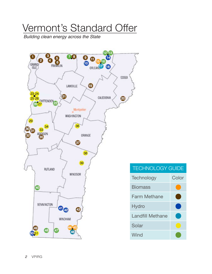# Vermont's Standard Offer

*Building clean energy across the State*



 $\bullet$ 

 $\bullet$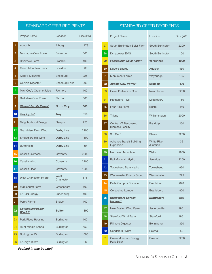|                | <b>STANDARD OFFER RECIPIENTS</b>      |                       |           |
|----------------|---------------------------------------|-----------------------|-----------|
|                | Project Name                          | Location              | Size (kW) |
| 1              | Agnorth                               | Alburgh               | 1173      |
| $\overline{c}$ | Montagne Cow Power                    | Swanton               | 300       |
| 3              | <b>Riverview Farm</b>                 | Franklin              | 100       |
| 4              | <b>Green Mountain Dairy</b>           | Sheldon               | 300       |
| 5              | <b>Kane's Kilowatts</b>               | Enosburg              | 225       |
| 6              | Gervais Digester                      | <b>Enosburg Falls</b> | 200       |
| $\overline{7}$ | Mrs. Coy's Organic Juice              | Richford              | 100       |
| 8              | <b>Berkshire Cow Power</b>            | Richford              | 600       |
| 9              | <b>Chaput Family Farms*</b>           | <b>North Troy</b>     | 300       |
| 10             | <b>Troy Hydro*</b>                    | <b>Troy</b>           | 816       |
| 11             | Neighborhood Energy                   | Newport               | 225       |
| 12             | <b>Grandview Farm Wind</b>            | Derby Line            | 2200      |
| 13             | Smugglers Hill Wind                   | Derby Line            | 1500      |
| 14             | <b>Butterfield</b>                    | Derby Line            | 50        |
| 15             | Casella Biomass                       | Coventry              | 2200      |
| 16             | Casella Wind                          | Coventry              | 2200      |
| 17             | Casella Heat                          | Coventry              | 1000      |
| 18             | West Charleston Hydro                 | West<br>Charleston    | 675       |
| 19             | Maplehurst Farm                       | Greensboro            | 100       |
| 20             | <b>EATON Energy</b>                   | Lunenburg             | 100       |
| 21             | Percy Farms                           | <b>Stowe</b>          | 100       |
| 22             | <b>Catamount/Bolton</b><br>Wind $2^*$ | <b>Bolton</b>         | 1800      |
| 23             | Park Place Housing                    | <b>Burlington</b>     | 100       |
| 24             | <b>Hunt Middle School</b>             | <b>Burlington</b>     | 450       |
| 25             | <b>Burlington PV</b>                  | <b>Burlington</b>     | 1005      |
| 26             | Leunig's Bistro                       | <b>Burlington</b>     | 26        |

STANDARD OFFER RECIPIENTS

|    | Project Name                                           | Location                       | Size (kW) |
|----|--------------------------------------------------------|--------------------------------|-----------|
| 27 | South Burlington Solar Farm                            | South Burlington               | 2200      |
| 28 | <b>Dynapower EMS</b>                                   | South Burlington               | 100       |
| 29 | Ferrisburgh Solar Farm*                                | <b>Vergennes</b>               | 1000      |
| 30 | <b>Dubois Energy</b>                                   | Addison                        | 450       |
| 31 | <b>Monument Farms</b>                                  | Weybridge                      | 155       |
| 32 | <b>Audets Cow Power*</b>                               | <b>Bridport</b>                | 490       |
| 33 | <b>Cross Pollination One</b>                           | New Haven                      | 2200      |
| 34 | Hannaford - 121                                        | Middlebury                     | 150       |
| 35 | <b>Four Hills Farm</b>                                 | <b>Bristol</b>                 | 450       |
| 36 | <b>Triland</b>                                         | Williamstown                   | 2000      |
| 37 | <b>Central VT Recovered</b><br><b>Biomass Facility</b> | Randolph                       | 250       |
| 38 | SunGen1                                                | Sharon                         | 2200      |
| 39 | <b>Advance Transit Building</b><br>Expansion           | <b>White River</b><br>Junction | 32        |
| 40 | Northeast Mountain                                     | Wells                          | 1800      |
| 41 | <b>Ball Mountain Hydro</b>                             | Jamaica                        | 2200      |
| 42 | Townshend Dam Hydro                                    | Townshend                      | 960       |
| 43 | <b>Westminster Energy Group</b>                        | Westminster                    | 225       |
| 44 | Delta Campus Biomass                                   | <b>Brattleboro</b>             | 840       |
| 45 | Cersosimo Lumber                                       | <b>Brattleboro</b>             | 800       |
| 46 | <b>Brattleboro Carbon</b><br>Harvest*                  | <b>Brattleboro</b>             | 560       |
| 47 | <b>New Boston Wind Farm</b>                            | Jacksonville                   | 1951      |
| 48 | <b>Stamford Wind Farm</b>                              | Stamford                       | 1951      |
| 49 | <b>Fillmore Digester</b>                               | Bennington                     | 350       |
| 50 | Candelora Hydro                                        | Pownal                         | 50        |
| 51 | <b>Green Mountain Energy</b><br>Park Solar             | Pownal                         | 2200      |

*Profiled in this booklet\**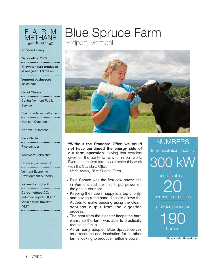

## Blue Spruce Farm Bridport, Vermont

#### Addison County

### **Date online:** 2005

**Kilowatt hours produced in one year:** 1.3 million

**Vermont businesses**  (selected)**:** 

Cabot Cheese

Central Vermont Public **Service** 

Eben Punderson (attorney)

Harrison Concrete

Nortrax Equipment

Peck Electric

Rice Lumber

Windward Petroleum

University of Vermont

Vermont Economic Development Authority

Yankee Farm Credit

**Carbon offset:** CO2 reduction equals 50,477 vehicle miles traveled (VMT)





**"Without the Standard Offer, we could not have continued the energy side of our farm operation.** Having that certainty gives us the ability to reinvest in our work. Even the smallest farm could make this work with the Standard Offer." *-Marie Audet, Blue Spruce Farm*

- Blue Spruce was the first cow power site in Vermont and the first to put power on the grid in Vermont.
- Keeping their cows happy is a top priority, and having a methane digester allows the Audets to make bedding using the clean, odorless output from the digestion process.
- The heat from the digester keeps the barn warm, so the farm was able to drastically reduce its fuel bill.
- As an early adopter, Blue Spruce serves as a resource and inspiration for all other farms looking to produce methane power. *Photo credit: Marie Audet*

**NUMBERS** total installation capacity 300 KV benefits at least

> 20 Vermont businesses

provides power for

190 homes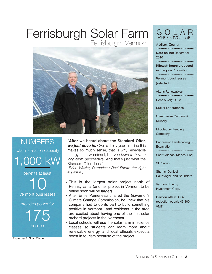# Ferrisburgh Solar Farm

Ferrisburgh, Vermont



## **NUMBERS** total installation capacity



benefits at least

10 Vermont businesses

provides power for

175 homes

*Photo credit: Brian Waxler*

### "**After we heard about the Standard Offer,**

*we just dove in***.** Over a thirty year timeline this makes so much sense, that is why renewable energy is so wonderful, but *you have to have a long-term perspective*. And that's just what the Standard Offer does."

*-Brian Waxler, Pomerleau Real Estate (far right in picture)*

• This is the largest solar project north of Pennsylvania (another project in Vermont to be online soon will be larger).

• After Ernie Pomerleau chaired the Governor's Climate Change Commission, he knew that his company had to do its part to build something positive in Vermont—and residents in the area are excited about having one of the first solar orchard projects in the Northeast.

• Local schools will use the solar farm in science classes so students can learn more about renewable energy, and local officials expect a boost in tourism because of the project.



Addison County

**Date online:** December 2010

**Kilowatt hours produced in one year:** 1.2 million

**Vermont businesses**  (selected)**:** 

Alteris Renewables

Dennis Voigt, CPA

Draker Laboratories

Greenhaven Gardens & **Nursery** 

Middlebury Fencing **Company** 

Panoramic Landscaping & **Excavation** 

Scott Michael Mapes, Esq.

SE Group

Shems, Dunkiel, Raubvogel, and Saunders

Vermont Energy Investment Corp.

Carbon offset: CO<sub>2</sub> reduction equals 46,800 VMT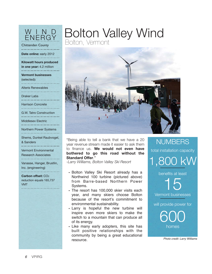

Chittenden County

Date online: early 2012

**Kilowatt hours produced in one year:** 4.2 million

**Vermont businesses**  (selected)**:** 

Alteris Renewables

Draker Labs

Harrison Concrete

G.W. Tatro Construction

Middlesex Electric

Northern Power Systems

Shems, Dunkel Raubvogel, & Sanders

Vermont Environmental Research Associates

Vanasse, Hanger, Brustlin, Inc. (engineering)

**Carbon offset:** CO2 reduction equals 165,737 VMT



## Bolton Valley Wind Bolton, Vermont

"Being able to tell a bank that we have a 20 year revenue stream made it easier to ask them to finance us. **We would not even have bothered to go this road without the Standard Offer**."

*-Larry Williams, Bolton Valley Ski Resort*

- Bolton Valley Ski Resort already has a Northwind 100 turbine (pictured above) from Barre-based Northern Power Systems.
- The resort has 100,000 skier visits each year, and many skiers choose Bolton because of the resort's commitment to environmental sustainability.
- Larry is hopeful the new turbine will inspire even more skiers to make the switch to a mountain that can produce all of its energy.
- Like many early adopters, this site has built positive relationships with the community by being a great educational resource. *Photo credit: Larry Williams*

**NUMBERS** total installation capacity 1,800 kW

benefits at least

15 Vermont businesses

will provide power for

600 homes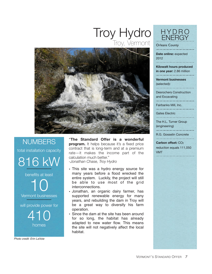## Troy Hydro Troy, Vermont



NUMBERS total installation capacity 816 kW benefits at least 10 Vermont businesses will provide power for 410 homes

*Photo credit: Erin LaVoie*

"**The Standard Offer is a wonderful program.** It helps because it's a fixed price contract that is long-term and at a premium rate—it makes the income part of the calculation much better."

*-Jonathan Chase, Troy Hydro* 

- This site was a hydro energy source for many years before a flood wrecked the entire system. Luckily, the project will still be able to use most of the grid interconnections.
- Jonathan, an organic dairy farmer, has supported renewable energy for many years, and rebuilding the dam in Troy will be a great way to diversify his farm operation.
- Since the dam at the site has been around for so long, the habitat has already adapted to new water flow. This means the site will not negatively affect the local habitat.

HYDRO **ENERGY** 

Orleans County

**Date online:** expected 2012

**Kilowatt hours produced in one year:** 2.86 million

**Vermont businesses** (selected)**:** 

Desrochers Construction and Excavating

Fairbanks Mill, Inc.

Gates Electric

The H.L. Turner Group (engineering)

R.G. Gosselin Concrete

**Carbon offset:** CO2 reduction equals 111,050 VMT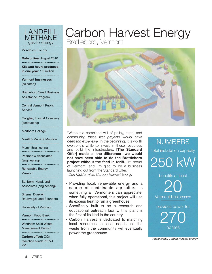

#### Windham County

**Date online:** August 2010

**Kilowatt hours produced in one year:** 1.9 million

**Vermont businesses**  (selected)**:** 

Brattleboro Small Business Assistance Program

Central Vermont Public **Service** 

Gallgher, Flynn & Company (accounting)

Marlboro College

Meritt & Merrit & Moulton

Marsh Engineering

Pearson & Associates (engineering)

Renewable Energy **Vermont** 

Sanborn, Head, and Associates (engineering)

Shems, Dunkiel, Raubvogel, and Saunders

University of Vermont

Vermont Food Bank

Windham Solid Waste Management District

**Carbon offset:** CO2 reduction equals 73,774 VMT

# Carbon Harvest Energy

Brattleboro, Vermont



"Without a combined will of policy, state, and community, *these first projects would have been too expensive.* In the beginning, it is worth everyone's while to invest in these resources and build the infrastructure. **[The Standard Offer] made all the difference—we would not have been able to do the Brattleboro project without the feed-in tariff.** I'm proud of Vermont, and I'm glad to be a business launching out from the Standard Offer." *-Don McCormick, Carbon Harvest Energy*

- Providing local, renewable energy and a source of sustainable agriculture is something all Vermonters can appreciate: when fully operational, this project will use its excess heat to run a greenhouse.
- Specifically built to be a research and educational outreach facility, this plant is the first of its kind in the country.
- Carbon Harvest is dedicated to matching local resources to local needs, so the waste from the community will eventually power the greenhouse.

**NUMBERS** total installation capacity 250 kW benefits at least 20 Vermont businesses provides power for 270 homes

*Photo credit: Carbon Harvest Energy*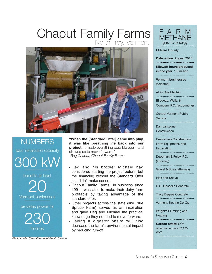# Chaput Family Farms



**NUMBERS** total installation capacity 300 k benefits at least 20 Vermont businesses

provides power for

230 homes

**"When the [Standard Offer] came into play, it was like breathing life back into our project.** It made everything possible again and allowed us to move forward." *-Reg Chaput, Chaput Family Farms*

- Reg and his brother Michael had considered starting the project before, but the financing without the Standard Offer just didn't make sense.
- Chaput Family Farms—in business since 1991—was able to make their dairy farm profitable by taking advantage of the standard offer.
- Other projects across the state (like Blue Spruce Farm) served as an inspiration and gave Reg and Michael the practical knowledge they needed to move forward.
- Having a digester onsite will also decrease the farm's environmental impact by reducing run-off.



#### Orleans County

**Date online:** August 2010

**Kilowatt hours produced in one year:** 1.6 million

**Vermont businesses** (selected)**:** 

All in One Electric

Bilodeau, Wells, & Company P.C. (accounting)

Central Vermont Public **Service** 

Dan Lantagne **Construction** 

Desrochers Construction, Farm Equipment, and **Excavating** 

Deppman & Foley, P.C. (attorney)

Gravel & Shea (attorney)

Pick and Shovel

R.G. Gosselin Concrete

Tracy Degree Concrete

Vermont Electric Co-Op

Wright's Plumbing and **Heating** 

**Carbon offset:** CO2 reduction equals 62,125 VMT

*Photo credit: Central Vermont Public Service*